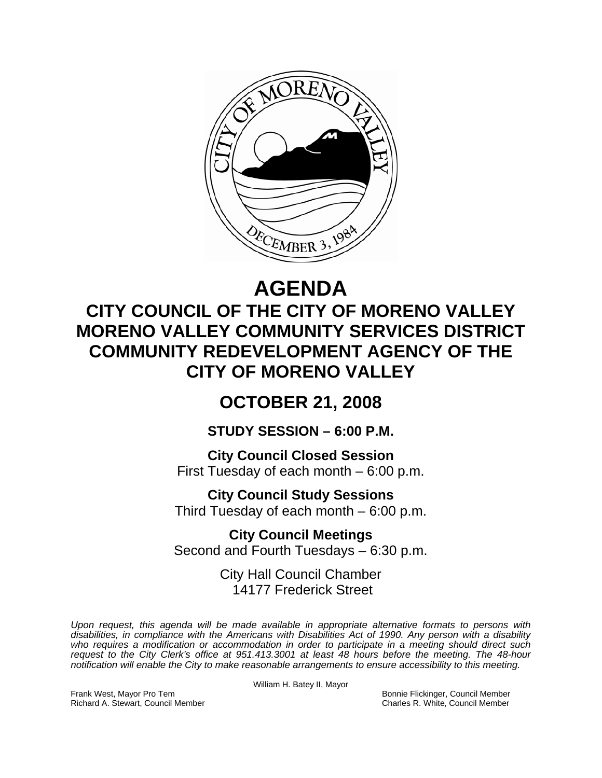

# **AGENDA**

## **CITY COUNCIL OF THE CITY OF MORENO VALLEY MORENO VALLEY COMMUNITY SERVICES DISTRICT COMMUNITY REDEVELOPMENT AGENCY OF THE CITY OF MORENO VALLEY**

## **OCTOBER 21, 2008**

## **STUDY SESSION – 6:00 P.M.**

**City Council Closed Session**  First Tuesday of each month – 6:00 p.m.

**City Council Study Sessions**  Third Tuesday of each month – 6:00 p.m.

**City Council Meetings**  Second and Fourth Tuesdays – 6:30 p.m.

> City Hall Council Chamber 14177 Frederick Street

*Upon request, this agenda will be made available in appropriate alternative formats to persons with disabilities, in compliance with the Americans with Disabilities Act of 1990. Any person with a disability*  who requires a modification or accommodation in order to participate in a meeting should direct such *request to the City Clerk's office at 951.413.3001 at least 48 hours before the meeting. The 48-hour notification will enable the City to make reasonable arrangements to ensure accessibility to this meeting.* 

William H. Batey II, Mayor

Frank West, Mayor Pro Tem Bonnie Flickinger, Council Member Richard A. Stewart, Council Member Charles R. White, Council Member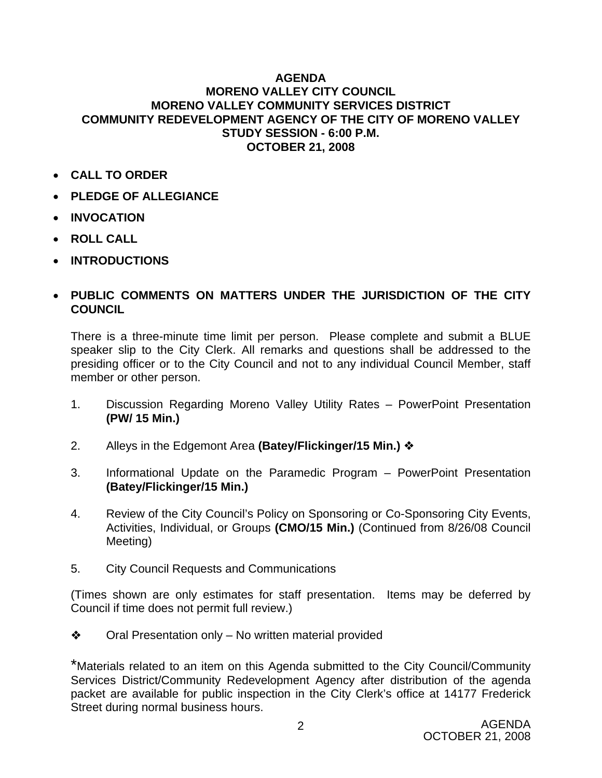#### **AGENDA MORENO VALLEY CITY COUNCIL MORENO VALLEY COMMUNITY SERVICES DISTRICT COMMUNITY REDEVELOPMENT AGENCY OF THE CITY OF MORENO VALLEY STUDY SESSION - 6:00 P.M. OCTOBER 21, 2008**

- **CALL TO ORDER**
- **PLEDGE OF ALLEGIANCE**
- **INVOCATION**
- **ROLL CALL**
- **INTRODUCTIONS**

### • **PUBLIC COMMENTS ON MATTERS UNDER THE JURISDICTION OF THE CITY COUNCIL**

There is a three-minute time limit per person. Please complete and submit a BLUE speaker slip to the City Clerk. All remarks and questions shall be addressed to the presiding officer or to the City Council and not to any individual Council Member, staff member or other person.

- 1. Discussion Regarding Moreno Valley Utility Rates PowerPoint Presentation **(PW/ 15 Min.)**
- 2. Alleys in the Edgemont Area **(Batey/Flickinger/15 Min.)**
- 3. Informational Update on the Paramedic Program PowerPoint Presentation **(Batey/Flickinger/15 Min.)**
- 4. Review of the City Council's Policy on Sponsoring or Co-Sponsoring City Events, Activities, Individual, or Groups **(CMO/15 Min.)** (Continued from 8/26/08 Council Meeting)
- 5. City Council Requests and Communications

(Times shown are only estimates for staff presentation. Items may be deferred by Council if time does not permit full review.)

 $\triangle$  Oral Presentation only – No written material provided

\*Materials related to an item on this Agenda submitted to the City Council/Community Services District/Community Redevelopment Agency after distribution of the agenda packet are available for public inspection in the City Clerk's office at 14177 Frederick Street during normal business hours.